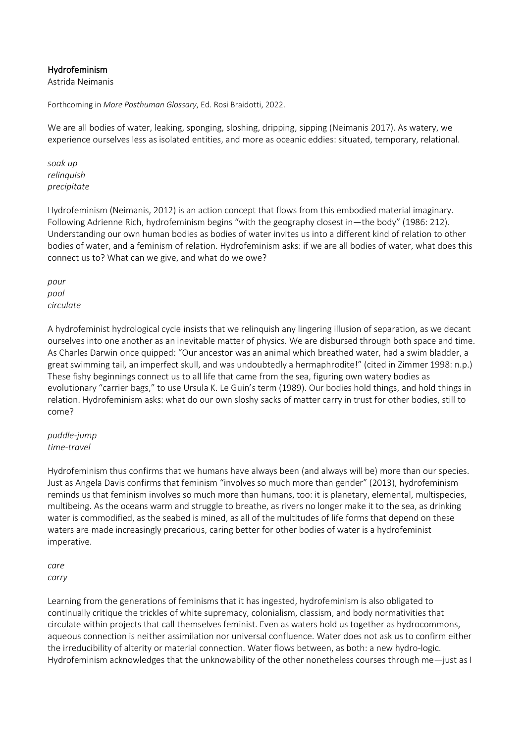## Hydrofeminism

Astrida Neimanis

Forthcoming in *More Posthuman Glossary*, Ed. Rosi Braidotti, 2022.

We are all bodies of water, leaking, sponging, sloshing, dripping, sipping (Neimanis 2017). As watery, we experience ourselves less as isolated entities, and more as oceanic eddies: situated, temporary, relational.

*soak up relinquish precipitate* 

Hydrofeminism (Neimanis, 2012) is an action concept that flows from this embodied material imaginary. Following Adrienne Rich, hydrofeminism begins "with the geography closest in—the body" (1986: 212). Understanding our own human bodies as bodies of water invites us into a different kind of relation to other bodies of water, and a feminism of relation. Hydrofeminism asks: if we are all bodies of water, what does this connect us to? What can we give, and what do we owe?

*pour pool circulate*

A hydrofeminist hydrological cycle insists that we relinquish any lingering illusion of separation, as we decant ourselves into one another as an inevitable matter of physics. We are disbursed through both space and time. As Charles Darwin once quipped: "Our ancestor was an animal which breathed water, had a swim bladder, a great swimming tail, an imperfect skull, and was undoubtedly a hermaphrodite!" (cited in Zimmer 1998: n.p.) These fishy beginnings connect us to all life that came from the sea, figuring own watery bodies as evolutionary "carrier bags," to use Ursula K. Le Guin's term (1989). Our bodies hold things, and hold things in relation. Hydrofeminism asks: what do our own sloshy sacks of matter carry in trust for other bodies, still to come?

#### *puddle-jump time-travel*

Hydrofeminism thus confirms that we humans have always been (and always will be) more than our species. Just as Angela Davis confirms that feminism "involves so much more than gender" (2013), hydrofeminism reminds us that feminism involves so much more than humans, too: it is planetary, elemental, multispecies, multibeing. As the oceans warm and struggle to breathe, as rivers no longer make it to the sea, as drinking water is commodified, as the seabed is mined, as all of the multitudes of life forms that depend on these waters are made increasingly precarious, caring better for other bodies of water is a hydrofeminist imperative.

*care carry*

Learning from the generations of feminisms that it has ingested, hydrofeminism is also obligated to continually critique the trickles of white supremacy, colonialism, classism, and body normativities that circulate within projects that call themselves feminist. Even as waters hold us together as hydrocommons, aqueous connection is neither assimilation nor universal confluence. Water does not ask us to confirm either the irreducibility of alterity or material connection. Water flows between, as both: a new hydro-logic. Hydrofeminism acknowledges that the unknowability of the other nonetheless courses through me—just as I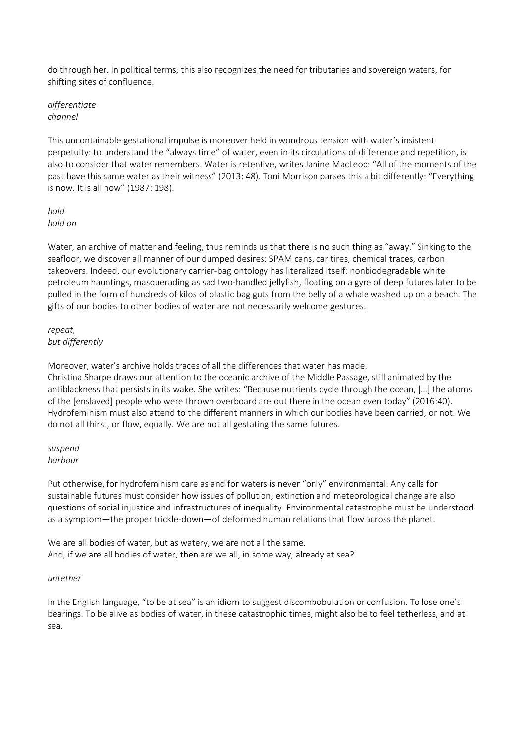do through her. In political terms, this also recognizes the need for tributaries and sovereign waters, for shifting sites of confluence.

## *differentiate channel*

This uncontainable gestational impulse is moreover held in wondrous tension with water's insistent perpetuity: to understand the "always time" of water, even in its circulations of difference and repetition, is also to consider that water remembers. Water is retentive, writes Janine MacLeod: "All of the moments of the past have this same water as their witness" (2013: 48). Toni Morrison parses this a bit differently: "Everything is now. It is all now" (1987: 198).

# *hold hold on*

Water, an archive of matter and feeling, thus reminds us that there is no such thing as "away." Sinking to the seafloor, we discover all manner of our dumped desires: SPAM cans, car tires, chemical traces, carbon takeovers. Indeed, our evolutionary carrier-bag ontology has literalized itself: nonbiodegradable white petroleum hauntings, masquerading as sad two-handled jellyfish, floating on a gyre of deep futures later to be pulled in the form of hundreds of kilos of plastic bag guts from the belly of a whale washed up on a beach. The gifts of our bodies to other bodies of water are not necessarily welcome gestures.

## *repeat, but differently*

Moreover, water's archive holds traces of all the differences that water has made. Christina Sharpe draws our attention to the oceanic archive of the Middle Passage, still animated by the antiblackness that persists in its wake. She writes: "Because nutrients cycle through the ocean, […] the atoms of the [enslaved] people who were thrown overboard are out there in the ocean even today" (2016:40). Hydrofeminism must also attend to the different manners in which our bodies have been carried, or not. We do not all thirst, or flow, equally. We are not all gestating the same futures.

#### *suspend harbour*

Put otherwise, for hydrofeminism care as and for waters is never "only" environmental. Any calls for sustainable futures must consider how issues of pollution, extinction and meteorological change are also questions of social injustice and infrastructures of inequality. Environmental catastrophe must be understood as a symptom—the proper trickle-down—of deformed human relations that flow across the planet.

We are all bodies of water, but as watery, we are not all the same. And, if we are all bodies of water, then are we all, in some way, already at sea?

# *untether*

In the English language, "to be at sea" is an idiom to suggest discombobulation or confusion. To lose one's bearings. To be alive as bodies of water, in these catastrophic times, might also be to feel tetherless, and at sea.